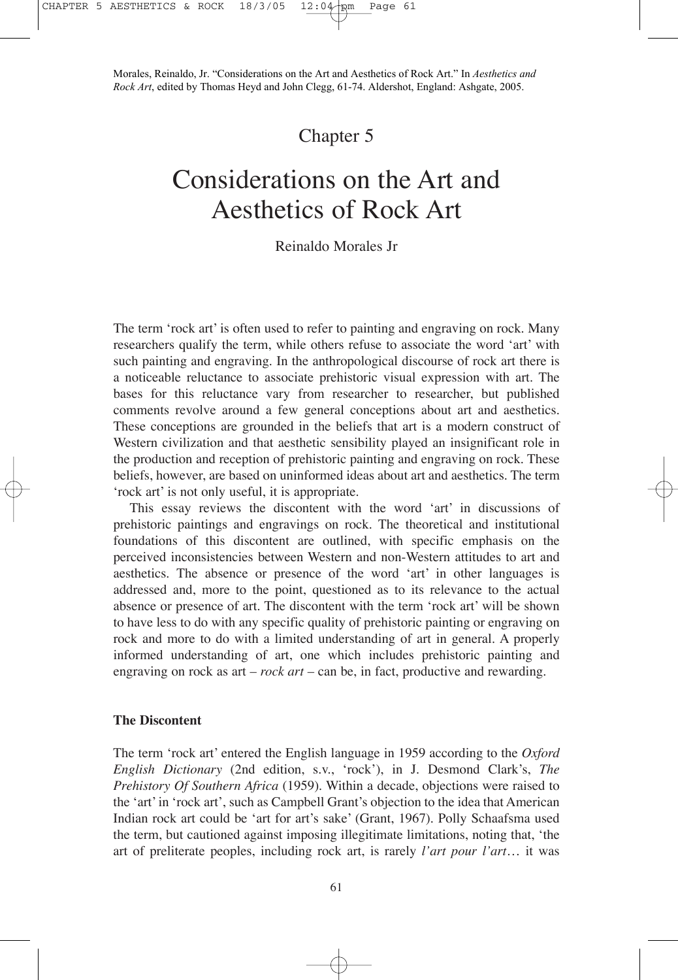## Chapter 5

# Considerations on the Art and Aesthetics of Rock Art

### Reinaldo Morales Jr

The term 'rock art' is often used to refer to painting and engraving on rock. Many researchers qualify the term, while others refuse to associate the word 'art' with such painting and engraving. In the anthropological discourse of rock art there is a noticeable reluctance to associate prehistoric visual expression with art. The bases for this reluctance vary from researcher to researcher, but published comments revolve around a few general conceptions about art and aesthetics. These conceptions are grounded in the beliefs that art is a modern construct of Western civilization and that aesthetic sensibility played an insignificant role in the production and reception of prehistoric painting and engraving on rock. These beliefs, however, are based on uninformed ideas about art and aesthetics. The term 'rock art' is not only useful, it is appropriate.

This essay reviews the discontent with the word 'art' in discussions of prehistoric paintings and engravings on rock. The theoretical and institutional foundations of this discontent are outlined, with specific emphasis on the perceived inconsistencies between Western and non-Western attitudes to art and aesthetics. The absence or presence of the word 'art' in other languages is addressed and, more to the point, questioned as to its relevance to the actual absence or presence of art. The discontent with the term 'rock art' will be shown to have less to do with any specific quality of prehistoric painting or engraving on rock and more to do with a limited understanding of art in general. A properly informed understanding of art, one which includes prehistoric painting and engraving on rock as art – *rock art* – can be, in fact, productive and rewarding.

#### **The Discontent**

The term 'rock art' entered the English language in 1959 according to the *Oxford English Dictionary* (2nd edition, s.v., 'rock'), in J. Desmond Clark's, *The Prehistory Of Southern Africa* (1959). Within a decade, objections were raised to the 'art' in 'rock art', such as Campbell Grant's objection to the idea that American Indian rock art could be 'art for art's sake' (Grant, 1967). Polly Schaafsma used the term, but cautioned against imposing illegitimate limitations, noting that, 'the art of preliterate peoples, including rock art, is rarely *l'art pour l'art*… it was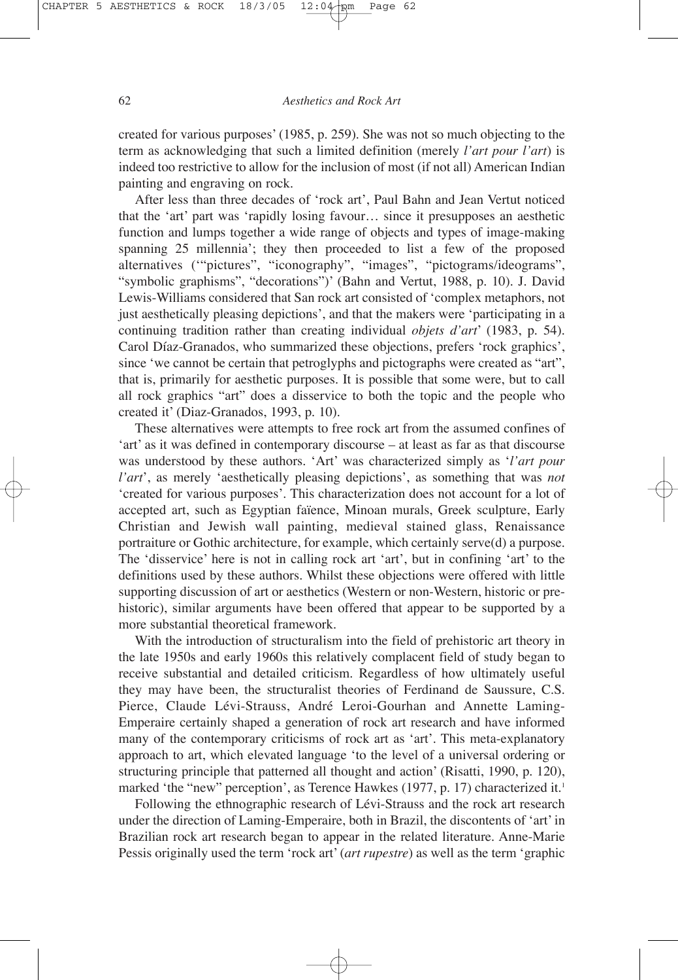created for various purposes' (1985, p. 259). She was not so much objecting to the term as acknowledging that such a limited definition (merely *l'art pour l'art*) is indeed too restrictive to allow for the inclusion of most (if not all) American Indian painting and engraving on rock.

After less than three decades of 'rock art', Paul Bahn and Jean Vertut noticed that the 'art' part was 'rapidly losing favour… since it presupposes an aesthetic function and lumps together a wide range of objects and types of image-making spanning 25 millennia'; they then proceeded to list a few of the proposed alternatives ('"pictures", "iconography", "images", "pictograms/ideograms", "symbolic graphisms", "decorations")' (Bahn and Vertut, 1988, p. 10). J. David Lewis-Williams considered that San rock art consisted of 'complex metaphors, not just aesthetically pleasing depictions', and that the makers were 'participating in a continuing tradition rather than creating individual *objets d'art*' (1983, p. 54). Carol Díaz-Granados, who summarized these objections, prefers 'rock graphics', since 'we cannot be certain that petroglyphs and pictographs were created as "art", that is, primarily for aesthetic purposes. It is possible that some were, but to call all rock graphics "art" does a disservice to both the topic and the people who created it' (Diaz-Granados, 1993, p. 10).

These alternatives were attempts to free rock art from the assumed confines of 'art' as it was defined in contemporary discourse – at least as far as that discourse was understood by these authors. 'Art' was characterized simply as '*l'art pour l'art*', as merely 'aesthetically pleasing depictions', as something that was *not* 'created for various purposes'. This characterization does not account for a lot of accepted art, such as Egyptian faïence, Minoan murals, Greek sculpture, Early Christian and Jewish wall painting, medieval stained glass, Renaissance portraiture or Gothic architecture, for example, which certainly serve(d) a purpose. The 'disservice' here is not in calling rock art 'art', but in confining 'art' to the definitions used by these authors. Whilst these objections were offered with little supporting discussion of art or aesthetics (Western or non-Western, historic or prehistoric), similar arguments have been offered that appear to be supported by a more substantial theoretical framework.

With the introduction of structuralism into the field of prehistoric art theory in the late 1950s and early 1960s this relatively complacent field of study began to receive substantial and detailed criticism. Regardless of how ultimately useful they may have been, the structuralist theories of Ferdinand de Saussure, C.S. Pierce, Claude Lévi-Strauss, André Leroi-Gourhan and Annette Laming-Emperaire certainly shaped a generation of rock art research and have informed many of the contemporary criticisms of rock art as 'art'. This meta-explanatory approach to art, which elevated language 'to the level of a universal ordering or structuring principle that patterned all thought and action' (Risatti, 1990, p. 120), marked 'the "new" perception', as Terence Hawkes (1977, p. 17) characterized it.<sup>1</sup>

Following the ethnographic research of Lévi-Strauss and the rock art research under the direction of Laming-Emperaire, both in Brazil, the discontents of 'art' in Brazilian rock art research began to appear in the related literature. Anne-Marie Pessis originally used the term 'rock art' (*art rupestre*) as well as the term 'graphic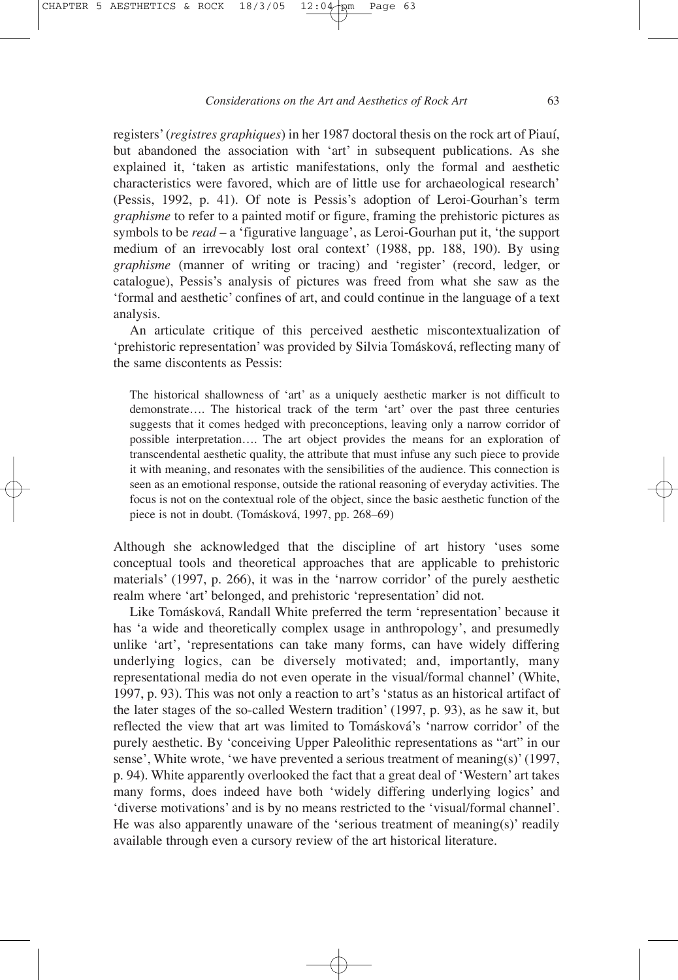registers' (*registres graphiques*) in her 1987 doctoral thesis on the rock art of Piauí, but abandoned the association with 'art' in subsequent publications. As she explained it, 'taken as artistic manifestations, only the formal and aesthetic characteristics were favored, which are of little use for archaeological research' (Pessis, 1992, p. 41). Of note is Pessis's adoption of Leroi-Gourhan's term *graphisme* to refer to a painted motif or figure, framing the prehistoric pictures as symbols to be *read* – a 'figurative language', as Leroi-Gourhan put it, 'the support medium of an irrevocably lost oral context' (1988, pp. 188, 190). By using *graphisme* (manner of writing or tracing) and 'register' (record, ledger, or catalogue), Pessis's analysis of pictures was freed from what she saw as the 'formal and aesthetic' confines of art, and could continue in the language of a text analysis.

An articulate critique of this perceived aesthetic miscontextualization of 'prehistoric representation' was provided by Silvia Tomásková, reflecting many of the same discontents as Pessis:

The historical shallowness of 'art' as a uniquely aesthetic marker is not difficult to demonstrate…. The historical track of the term 'art' over the past three centuries suggests that it comes hedged with preconceptions, leaving only a narrow corridor of possible interpretation…. The art object provides the means for an exploration of transcendental aesthetic quality, the attribute that must infuse any such piece to provide it with meaning, and resonates with the sensibilities of the audience. This connection is seen as an emotional response, outside the rational reasoning of everyday activities. The focus is not on the contextual role of the object, since the basic aesthetic function of the piece is not in doubt. (Tomásková, 1997, pp. 268–69)

Although she acknowledged that the discipline of art history 'uses some conceptual tools and theoretical approaches that are applicable to prehistoric materials' (1997, p. 266), it was in the 'narrow corridor' of the purely aesthetic realm where 'art' belonged, and prehistoric 'representation' did not.

Like Tomásková, Randall White preferred the term 'representation' because it has 'a wide and theoretically complex usage in anthropology', and presumedly unlike 'art', 'representations can take many forms, can have widely differing underlying logics, can be diversely motivated; and, importantly, many representational media do not even operate in the visual/formal channel' (White, 1997, p. 93). This was not only a reaction to art's 'status as an historical artifact of the later stages of the so-called Western tradition' (1997, p. 93), as he saw it, but reflected the view that art was limited to Tomásková's 'narrow corridor' of the purely aesthetic. By 'conceiving Upper Paleolithic representations as "art" in our sense', White wrote, 'we have prevented a serious treatment of meaning(s)' (1997, p. 94). White apparently overlooked the fact that a great deal of 'Western' art takes many forms, does indeed have both 'widely differing underlying logics' and 'diverse motivations' and is by no means restricted to the 'visual/formal channel'. He was also apparently unaware of the 'serious treatment of meaning(s)' readily available through even a cursory review of the art historical literature.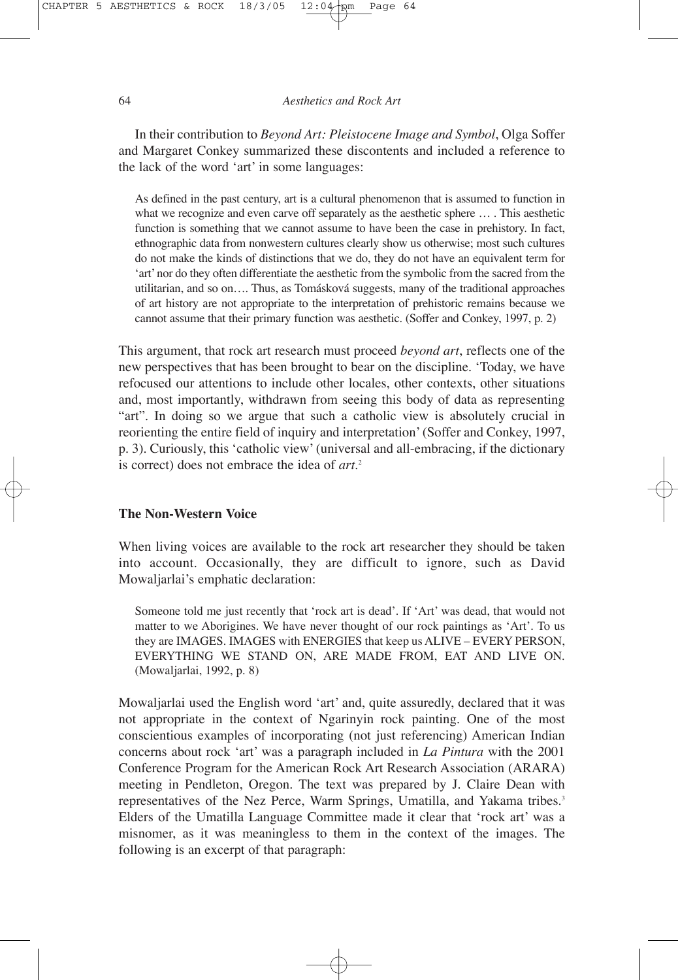In their contribution to *Beyond Art: Pleistocene Image and Symbol*, Olga Soffer and Margaret Conkey summarized these discontents and included a reference to the lack of the word 'art' in some languages:

As defined in the past century, art is a cultural phenomenon that is assumed to function in what we recognize and even carve off separately as the aesthetic sphere  $\dots$ . This aesthetic function is something that we cannot assume to have been the case in prehistory. In fact, ethnographic data from nonwestern cultures clearly show us otherwise; most such cultures do not make the kinds of distinctions that we do, they do not have an equivalent term for 'art' nor do they often differentiate the aesthetic from the symbolic from the sacred from the utilitarian, and so on…. Thus, as Tomásková suggests, many of the traditional approaches of art history are not appropriate to the interpretation of prehistoric remains because we cannot assume that their primary function was aesthetic. (Soffer and Conkey, 1997, p. 2)

This argument, that rock art research must proceed *beyond art*, reflects one of the new perspectives that has been brought to bear on the discipline. 'Today, we have refocused our attentions to include other locales, other contexts, other situations and, most importantly, withdrawn from seeing this body of data as representing "art". In doing so we argue that such a catholic view is absolutely crucial in reorienting the entire field of inquiry and interpretation' (Soffer and Conkey, 1997, p. 3). Curiously, this 'catholic view' (universal and all-embracing, if the dictionary is correct) does not embrace the idea of *art*. 2

#### **The Non-Western Voice**

When living voices are available to the rock art researcher they should be taken into account. Occasionally, they are difficult to ignore, such as David Mowaljarlai's emphatic declaration:

Someone told me just recently that 'rock art is dead'. If 'Art' was dead, that would not matter to we Aborigines. We have never thought of our rock paintings as 'Art'. To us they are IMAGES. IMAGES with ENERGIES that keep us ALIVE – EVERY PERSON, EVERYTHING WE STAND ON, ARE MADE FROM, EAT AND LIVE ON. (Mowaljarlai, 1992, p. 8)

Mowaljarlai used the English word 'art' and, quite assuredly, declared that it was not appropriate in the context of Ngarinyin rock painting. One of the most conscientious examples of incorporating (not just referencing) American Indian concerns about rock 'art' was a paragraph included in *La Pintura* with the 2001 Conference Program for the American Rock Art Research Association (ARARA) meeting in Pendleton, Oregon. The text was prepared by J. Claire Dean with representatives of the Nez Perce, Warm Springs, Umatilla, and Yakama tribes.<sup>3</sup> Elders of the Umatilla Language Committee made it clear that 'rock art' was a misnomer, as it was meaningless to them in the context of the images. The following is an excerpt of that paragraph: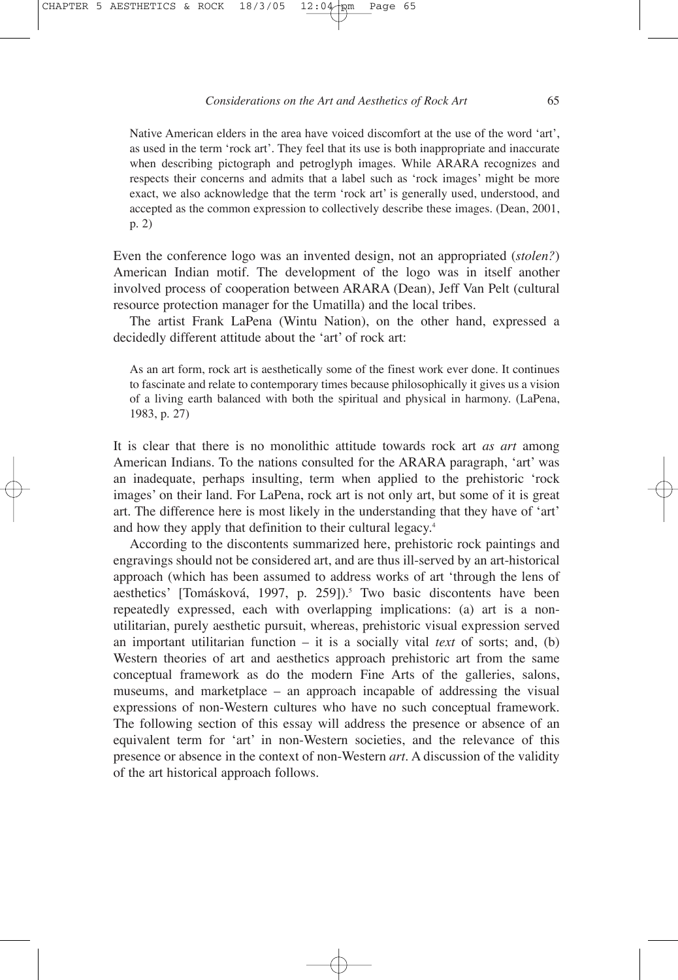Native American elders in the area have voiced discomfort at the use of the word 'art', as used in the term 'rock art'. They feel that its use is both inappropriate and inaccurate when describing pictograph and petroglyph images. While ARARA recognizes and respects their concerns and admits that a label such as 'rock images' might be more exact, we also acknowledge that the term 'rock art' is generally used, understood, and accepted as the common expression to collectively describe these images. (Dean, 2001, p. 2)

Even the conference logo was an invented design, not an appropriated (*stolen?*) American Indian motif. The development of the logo was in itself another involved process of cooperation between ARARA (Dean), Jeff Van Pelt (cultural resource protection manager for the Umatilla) and the local tribes.

The artist Frank LaPena (Wintu Nation), on the other hand, expressed a decidedly different attitude about the 'art' of rock art:

As an art form, rock art is aesthetically some of the finest work ever done. It continues to fascinate and relate to contemporary times because philosophically it gives us a vision of a living earth balanced with both the spiritual and physical in harmony. (LaPena, 1983, p. 27)

It is clear that there is no monolithic attitude towards rock art *as art* among American Indians. To the nations consulted for the ARARA paragraph, 'art' was an inadequate, perhaps insulting, term when applied to the prehistoric 'rock images' on their land. For LaPena, rock art is not only art, but some of it is great art. The difference here is most likely in the understanding that they have of 'art' and how they apply that definition to their cultural legacy.<sup>4</sup>

According to the discontents summarized here, prehistoric rock paintings and engravings should not be considered art, and are thus ill-served by an art-historical approach (which has been assumed to address works of art 'through the lens of aesthetics' [Tomásková, 1997, p. 259]).<sup>5</sup> Two basic discontents have been repeatedly expressed, each with overlapping implications: (a) art is a nonutilitarian, purely aesthetic pursuit, whereas, prehistoric visual expression served an important utilitarian function – it is a socially vital *text* of sorts; and, (b) Western theories of art and aesthetics approach prehistoric art from the same conceptual framework as do the modern Fine Arts of the galleries, salons, museums, and marketplace – an approach incapable of addressing the visual expressions of non-Western cultures who have no such conceptual framework. The following section of this essay will address the presence or absence of an equivalent term for 'art' in non-Western societies, and the relevance of this presence or absence in the context of non-Western *art*. A discussion of the validity of the art historical approach follows.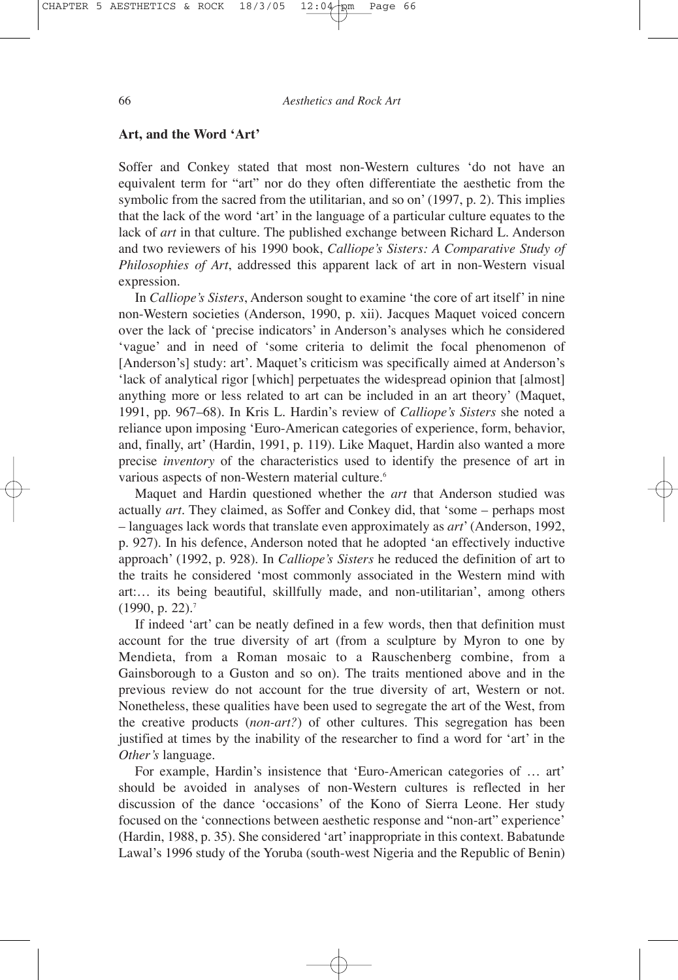#### **Art, and the Word 'Art'**

Soffer and Conkey stated that most non-Western cultures 'do not have an equivalent term for "art" nor do they often differentiate the aesthetic from the symbolic from the sacred from the utilitarian, and so on' (1997, p. 2). This implies that the lack of the word 'art' in the language of a particular culture equates to the lack of *art* in that culture. The published exchange between Richard L. Anderson and two reviewers of his 1990 book, *Calliope's Sisters: A Comparative Study of Philosophies of Art*, addressed this apparent lack of art in non-Western visual expression.

In *Calliope's Sisters*, Anderson sought to examine 'the core of art itself' in nine non-Western societies (Anderson, 1990, p. xii). Jacques Maquet voiced concern over the lack of 'precise indicators' in Anderson's analyses which he considered 'vague' and in need of 'some criteria to delimit the focal phenomenon of [Anderson's] study: art'. Maquet's criticism was specifically aimed at Anderson's 'lack of analytical rigor [which] perpetuates the widespread opinion that [almost] anything more or less related to art can be included in an art theory' (Maquet, 1991, pp. 967–68). In Kris L. Hardin's review of *Calliope's Sisters* she noted a reliance upon imposing 'Euro-American categories of experience, form, behavior, and, finally, art' (Hardin, 1991, p. 119). Like Maquet, Hardin also wanted a more precise *inventory* of the characteristics used to identify the presence of art in various aspects of non-Western material culture.<sup>6</sup>

Maquet and Hardin questioned whether the *art* that Anderson studied was actually *art*. They claimed, as Soffer and Conkey did, that 'some – perhaps most – languages lack words that translate even approximately as *art*' (Anderson, 1992, p. 927). In his defence, Anderson noted that he adopted 'an effectively inductive approach' (1992, p. 928). In *Calliope's Sisters* he reduced the definition of art to the traits he considered 'most commonly associated in the Western mind with art:… its being beautiful, skillfully made, and non-utilitarian', among others (1990, p. 22).7

If indeed 'art' can be neatly defined in a few words, then that definition must account for the true diversity of art (from a sculpture by Myron to one by Mendieta, from a Roman mosaic to a Rauschenberg combine, from a Gainsborough to a Guston and so on). The traits mentioned above and in the previous review do not account for the true diversity of art, Western or not. Nonetheless, these qualities have been used to segregate the art of the West, from the creative products (*non-art?*) of other cultures. This segregation has been justified at times by the inability of the researcher to find a word for 'art' in the *Other's* language.

For example, Hardin's insistence that 'Euro-American categories of … art' should be avoided in analyses of non-Western cultures is reflected in her discussion of the dance 'occasions' of the Kono of Sierra Leone. Her study focused on the 'connections between aesthetic response and "non-art" experience' (Hardin, 1988, p. 35). She considered 'art' inappropriate in this context. Babatunde Lawal's 1996 study of the Yoruba (south-west Nigeria and the Republic of Benin)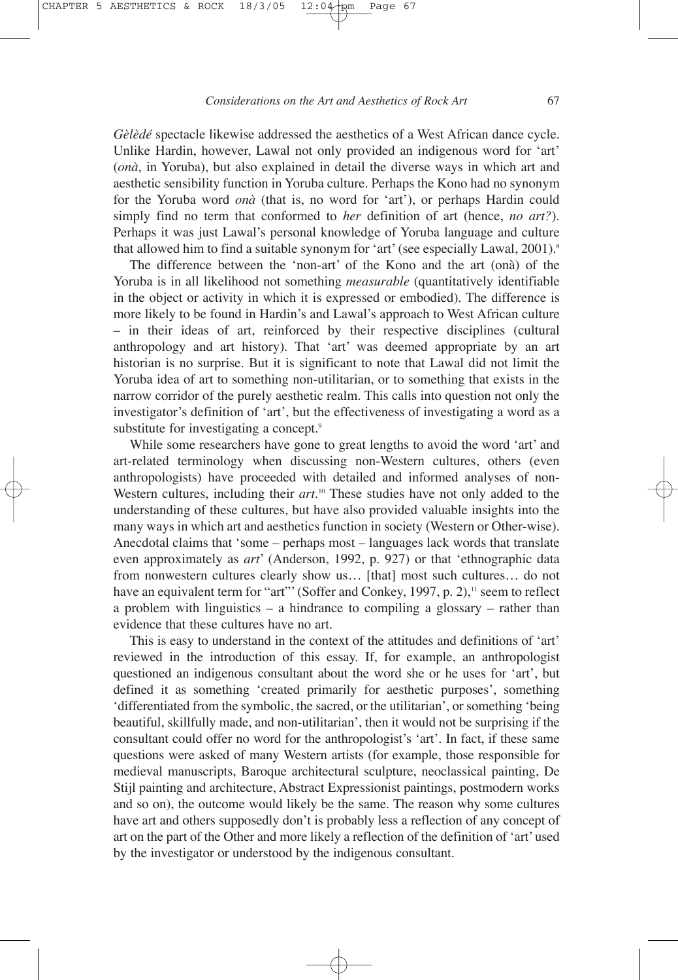*Gèlèdé* spectacle likewise addressed the aesthetics of a West African dance cycle. Unlike Hardin, however, Lawal not only provided an indigenous word for 'art' (*onà*, in Yoruba), but also explained in detail the diverse ways in which art and aesthetic sensibility function in Yoruba culture. Perhaps the Kono had no synonym for the Yoruba word *onà* (that is, no word for 'art'), or perhaps Hardin could simply find no term that conformed to *her* definition of art (hence, *no art?*). Perhaps it was just Lawal's personal knowledge of Yoruba language and culture that allowed him to find a suitable synonym for 'art' (see especially Lawal, 2001).<sup>8</sup>

The difference between the 'non-art' of the Kono and the art (onà) of the Yoruba is in all likelihood not something *measurable* (quantitatively identifiable in the object or activity in which it is expressed or embodied). The difference is more likely to be found in Hardin's and Lawal's approach to West African culture – in their ideas of art, reinforced by their respective disciplines (cultural anthropology and art history). That 'art' was deemed appropriate by an art historian is no surprise. But it is significant to note that Lawal did not limit the Yoruba idea of art to something non-utilitarian, or to something that exists in the narrow corridor of the purely aesthetic realm. This calls into question not only the investigator's definition of 'art', but the effectiveness of investigating a word as a substitute for investigating a concept.<sup>9</sup>

While some researchers have gone to great lengths to avoid the word 'art' and art-related terminology when discussing non-Western cultures, others (even anthropologists) have proceeded with detailed and informed analyses of non-Western cultures, including their *art*. <sup>10</sup> These studies have not only added to the understanding of these cultures, but have also provided valuable insights into the many ways in which art and aesthetics function in society (Western or Other-wise). Anecdotal claims that 'some – perhaps most – languages lack words that translate even approximately as *art*' (Anderson, 1992, p. 927) or that 'ethnographic data from nonwestern cultures clearly show us… [that] most such cultures… do not have an equivalent term for "art"' (Soffer and Conkey, 1997, p. 2)," seem to reflect a problem with linguistics – a hindrance to compiling a glossary – rather than evidence that these cultures have no art.

This is easy to understand in the context of the attitudes and definitions of 'art' reviewed in the introduction of this essay. If, for example, an anthropologist questioned an indigenous consultant about the word she or he uses for 'art', but defined it as something 'created primarily for aesthetic purposes', something 'differentiated from the symbolic, the sacred, or the utilitarian', or something 'being beautiful, skillfully made, and non-utilitarian', then it would not be surprising if the consultant could offer no word for the anthropologist's 'art'. In fact, if these same questions were asked of many Western artists (for example, those responsible for medieval manuscripts, Baroque architectural sculpture, neoclassical painting, De Stijl painting and architecture, Abstract Expressionist paintings, postmodern works and so on), the outcome would likely be the same. The reason why some cultures have art and others supposedly don't is probably less a reflection of any concept of art on the part of the Other and more likely a reflection of the definition of 'art' used by the investigator or understood by the indigenous consultant.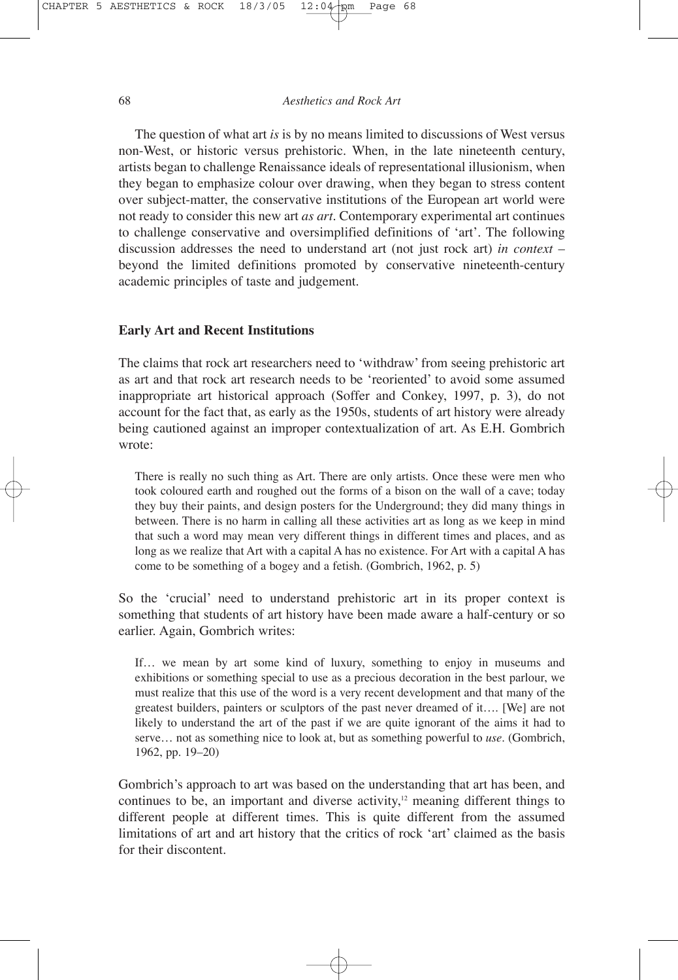The question of what art *is* is by no means limited to discussions of West versus non-West, or historic versus prehistoric. When, in the late nineteenth century, artists began to challenge Renaissance ideals of representational illusionism, when they began to emphasize colour over drawing, when they began to stress content over subject-matter, the conservative institutions of the European art world were not ready to consider this new art *as art*. Contemporary experimental art continues to challenge conservative and oversimplified definitions of 'art'. The following discussion addresses the need to understand art (not just rock art) *in context* – beyond the limited definitions promoted by conservative nineteenth-century academic principles of taste and judgement.

#### **Early Art and Recent Institutions**

The claims that rock art researchers need to 'withdraw' from seeing prehistoric art as art and that rock art research needs to be 'reoriented' to avoid some assumed inappropriate art historical approach (Soffer and Conkey, 1997, p. 3), do not account for the fact that, as early as the 1950s, students of art history were already being cautioned against an improper contextualization of art. As E.H. Gombrich wrote:

There is really no such thing as Art. There are only artists. Once these were men who took coloured earth and roughed out the forms of a bison on the wall of a cave; today they buy their paints, and design posters for the Underground; they did many things in between. There is no harm in calling all these activities art as long as we keep in mind that such a word may mean very different things in different times and places, and as long as we realize that Art with a capital A has no existence. For Art with a capital A has come to be something of a bogey and a fetish. (Gombrich, 1962, p. 5)

So the 'crucial' need to understand prehistoric art in its proper context is something that students of art history have been made aware a half-century or so earlier. Again, Gombrich writes:

If… we mean by art some kind of luxury, something to enjoy in museums and exhibitions or something special to use as a precious decoration in the best parlour, we must realize that this use of the word is a very recent development and that many of the greatest builders, painters or sculptors of the past never dreamed of it…. [We] are not likely to understand the art of the past if we are quite ignorant of the aims it had to serve… not as something nice to look at, but as something powerful to *use*. (Gombrich, 1962, pp. 19–20)

Gombrich's approach to art was based on the understanding that art has been, and continues to be, an important and diverse activity, $12$  meaning different things to different people at different times. This is quite different from the assumed limitations of art and art history that the critics of rock 'art' claimed as the basis for their discontent.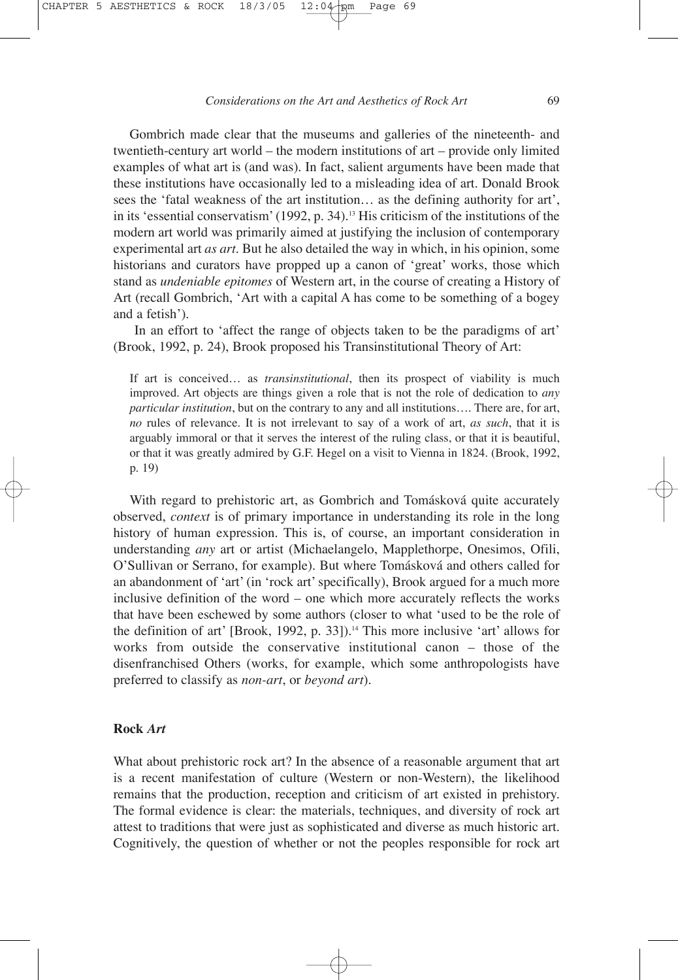Gombrich made clear that the museums and galleries of the nineteenth- and twentieth-century art world – the modern institutions of art – provide only limited examples of what art is (and was). In fact, salient arguments have been made that these institutions have occasionally led to a misleading idea of art. Donald Brook sees the 'fatal weakness of the art institution… as the defining authority for art', in its 'essential conservatism' (1992, p. 34).13 His criticism of the institutions of the modern art world was primarily aimed at justifying the inclusion of contemporary experimental art *as art*. But he also detailed the way in which, in his opinion, some historians and curators have propped up a canon of 'great' works, those which stand as *undeniable epitomes* of Western art, in the course of creating a History of Art (recall Gombrich, 'Art with a capital A has come to be something of a bogey and a fetish').

In an effort to 'affect the range of objects taken to be the paradigms of art' (Brook, 1992, p. 24), Brook proposed his Transinstitutional Theory of Art:

If art is conceived… as *transinstitutional*, then its prospect of viability is much improved. Art objects are things given a role that is not the role of dedication to *any particular institution*, but on the contrary to any and all institutions…. There are, for art, *no* rules of relevance. It is not irrelevant to say of a work of art, *as such*, that it is arguably immoral or that it serves the interest of the ruling class, or that it is beautiful, or that it was greatly admired by G.F. Hegel on a visit to Vienna in 1824. (Brook, 1992, p. 19)

With regard to prehistoric art, as Gombrich and Tomásková quite accurately observed, *context* is of primary importance in understanding its role in the long history of human expression. This is, of course, an important consideration in understanding *any* art or artist (Michaelangelo, Mapplethorpe, Onesimos, Ofili, O'Sullivan or Serrano, for example). But where Tomásková and others called for an abandonment of 'art' (in 'rock art' specifically), Brook argued for a much more inclusive definition of the word – one which more accurately reflects the works that have been eschewed by some authors (closer to what 'used to be the role of the definition of art' [Brook, 1992, p. 33]).<sup>14</sup> This more inclusive 'art' allows for works from outside the conservative institutional canon – those of the disenfranchised Others (works, for example, which some anthropologists have preferred to classify as *non-art*, or *beyond art*).

#### **Rock** *Art*

What about prehistoric rock art? In the absence of a reasonable argument that art is a recent manifestation of culture (Western or non-Western), the likelihood remains that the production, reception and criticism of art existed in prehistory. The formal evidence is clear: the materials, techniques, and diversity of rock art attest to traditions that were just as sophisticated and diverse as much historic art. Cognitively, the question of whether or not the peoples responsible for rock art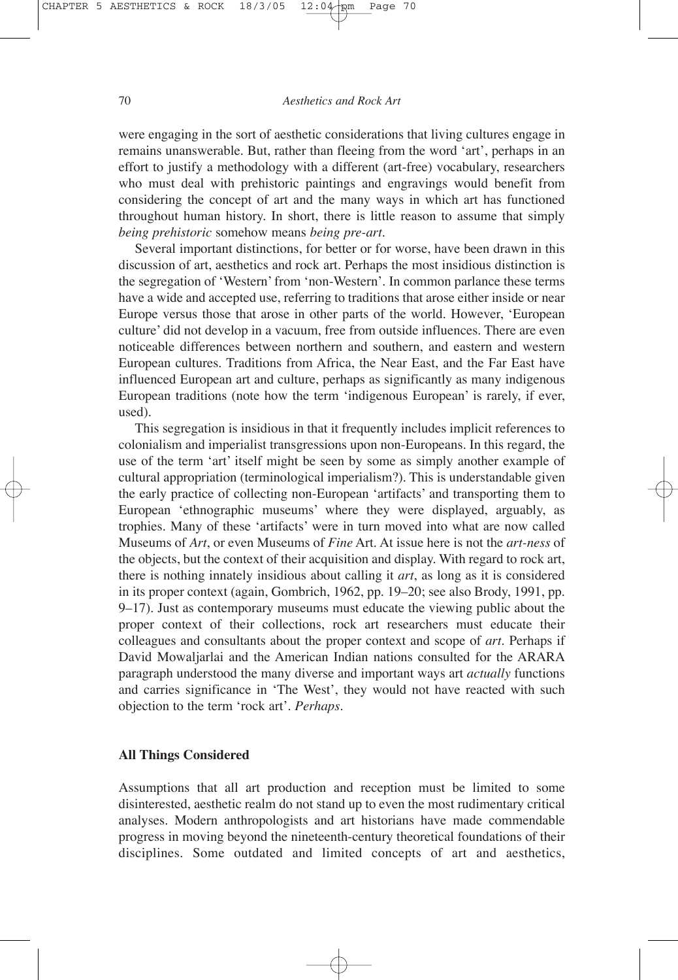were engaging in the sort of aesthetic considerations that living cultures engage in remains unanswerable. But, rather than fleeing from the word 'art', perhaps in an effort to justify a methodology with a different (art-free) vocabulary, researchers who must deal with prehistoric paintings and engravings would benefit from considering the concept of art and the many ways in which art has functioned throughout human history. In short, there is little reason to assume that simply *being prehistoric* somehow means *being pre-art*.

Several important distinctions, for better or for worse, have been drawn in this discussion of art, aesthetics and rock art. Perhaps the most insidious distinction is the segregation of 'Western' from 'non-Western'. In common parlance these terms have a wide and accepted use, referring to traditions that arose either inside or near Europe versus those that arose in other parts of the world. However, 'European culture' did not develop in a vacuum, free from outside influences. There are even noticeable differences between northern and southern, and eastern and western European cultures. Traditions from Africa, the Near East, and the Far East have influenced European art and culture, perhaps as significantly as many indigenous European traditions (note how the term 'indigenous European' is rarely, if ever, used).

This segregation is insidious in that it frequently includes implicit references to colonialism and imperialist transgressions upon non-Europeans. In this regard, the use of the term 'art' itself might be seen by some as simply another example of cultural appropriation (terminological imperialism?). This is understandable given the early practice of collecting non-European 'artifacts' and transporting them to European 'ethnographic museums' where they were displayed, arguably, as trophies. Many of these 'artifacts' were in turn moved into what are now called Museums of *Art*, or even Museums of *Fine* Art. At issue here is not the *art-ness* of the objects, but the context of their acquisition and display. With regard to rock art, there is nothing innately insidious about calling it *art*, as long as it is considered in its proper context (again, Gombrich, 1962, pp. 19–20; see also Brody, 1991, pp. 9–17). Just as contemporary museums must educate the viewing public about the proper context of their collections, rock art researchers must educate their colleagues and consultants about the proper context and scope of *art*. Perhaps if David Mowaljarlai and the American Indian nations consulted for the ARARA paragraph understood the many diverse and important ways art *actually* functions and carries significance in 'The West', they would not have reacted with such objection to the term 'rock art'. *Perhaps*.

#### **All Things Considered**

Assumptions that all art production and reception must be limited to some disinterested, aesthetic realm do not stand up to even the most rudimentary critical analyses. Modern anthropologists and art historians have made commendable progress in moving beyond the nineteenth-century theoretical foundations of their disciplines. Some outdated and limited concepts of art and aesthetics,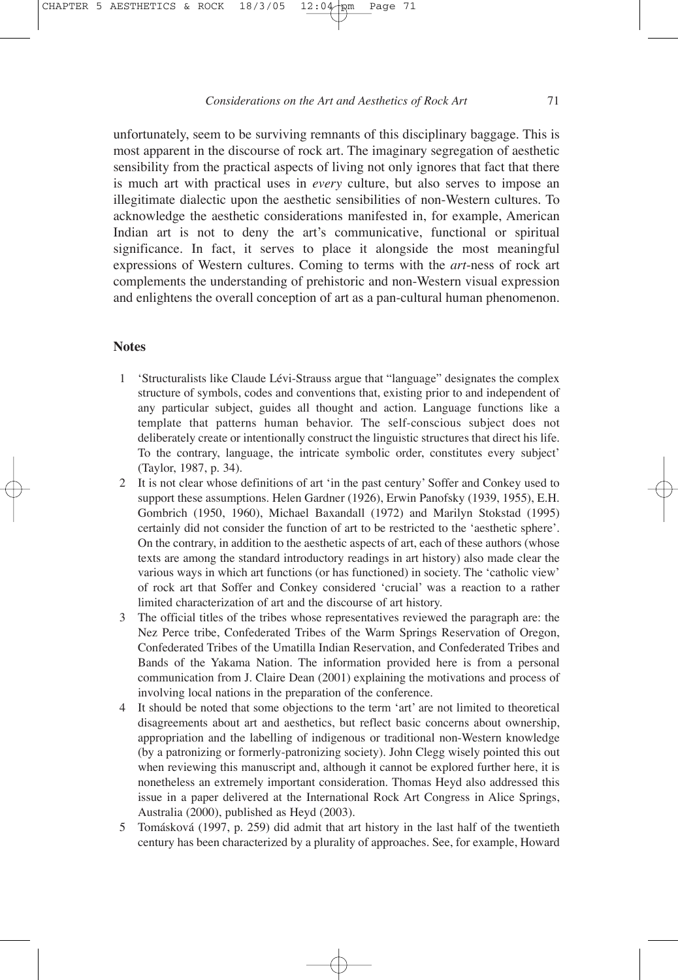unfortunately, seem to be surviving remnants of this disciplinary baggage. This is most apparent in the discourse of rock art. The imaginary segregation of aesthetic sensibility from the practical aspects of living not only ignores that fact that there is much art with practical uses in *every* culture, but also serves to impose an illegitimate dialectic upon the aesthetic sensibilities of non-Western cultures. To acknowledge the aesthetic considerations manifested in, for example, American Indian art is not to deny the art's communicative, functional or spiritual significance. In fact, it serves to place it alongside the most meaningful expressions of Western cultures. Coming to terms with the *art*-ness of rock art complements the understanding of prehistoric and non-Western visual expression and enlightens the overall conception of art as a pan-cultural human phenomenon.

#### **Notes**

- 1 'Structuralists like Claude Lévi-Strauss argue that "language" designates the complex structure of symbols, codes and conventions that, existing prior to and independent of any particular subject, guides all thought and action. Language functions like a template that patterns human behavior. The self-conscious subject does not deliberately create or intentionally construct the linguistic structures that direct his life. To the contrary, language, the intricate symbolic order, constitutes every subject' (Taylor, 1987, p. 34).
- 2 It is not clear whose definitions of art 'in the past century' Soffer and Conkey used to support these assumptions. Helen Gardner (1926), Erwin Panofsky (1939, 1955), E.H. Gombrich (1950, 1960), Michael Baxandall (1972) and Marilyn Stokstad (1995) certainly did not consider the function of art to be restricted to the 'aesthetic sphere'. On the contrary, in addition to the aesthetic aspects of art, each of these authors (whose texts are among the standard introductory readings in art history) also made clear the various ways in which art functions (or has functioned) in society. The 'catholic view' of rock art that Soffer and Conkey considered 'crucial' was a reaction to a rather limited characterization of art and the discourse of art history.
- 3 The official titles of the tribes whose representatives reviewed the paragraph are: the Nez Perce tribe, Confederated Tribes of the Warm Springs Reservation of Oregon, Confederated Tribes of the Umatilla Indian Reservation, and Confederated Tribes and Bands of the Yakama Nation. The information provided here is from a personal communication from J. Claire Dean (2001) explaining the motivations and process of involving local nations in the preparation of the conference.
- 4 It should be noted that some objections to the term 'art' are not limited to theoretical disagreements about art and aesthetics, but reflect basic concerns about ownership, appropriation and the labelling of indigenous or traditional non-Western knowledge (by a patronizing or formerly-patronizing society). John Clegg wisely pointed this out when reviewing this manuscript and, although it cannot be explored further here, it is nonetheless an extremely important consideration. Thomas Heyd also addressed this issue in a paper delivered at the International Rock Art Congress in Alice Springs, Australia (2000), published as Heyd (2003).
- 5 Tomásková (1997, p. 259) did admit that art history in the last half of the twentieth century has been characterized by a plurality of approaches. See, for example, Howard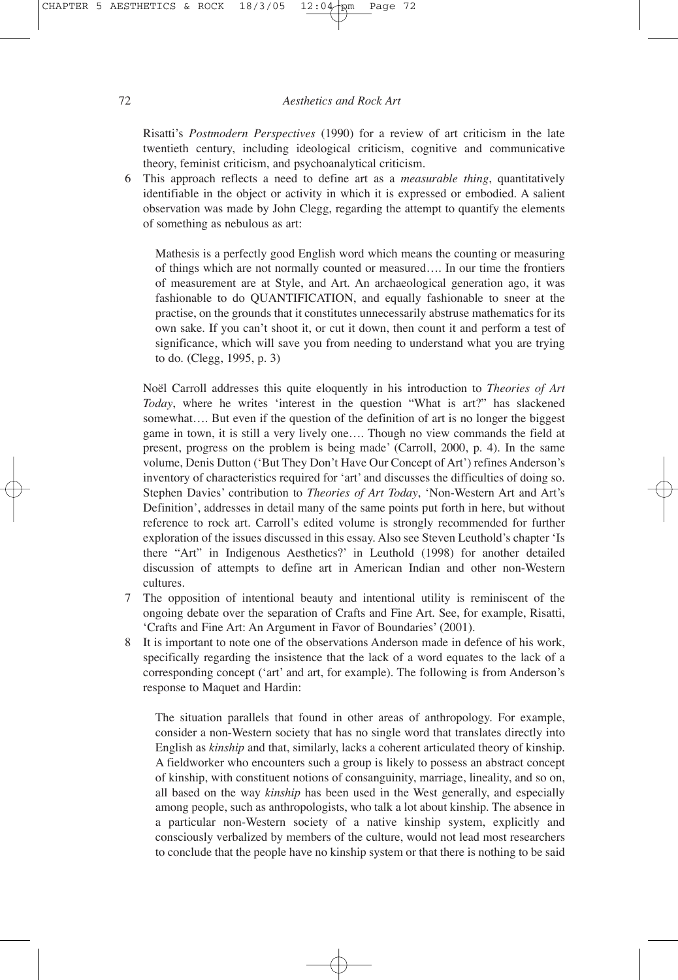Risatti's *Postmodern Perspectives* (1990) for a review of art criticism in the late twentieth century, including ideological criticism, cognitive and communicative theory, feminist criticism, and psychoanalytical criticism.

6 This approach reflects a need to define art as a *measurable thing*, quantitatively identifiable in the object or activity in which it is expressed or embodied. A salient observation was made by John Clegg, regarding the attempt to quantify the elements of something as nebulous as art:

Mathesis is a perfectly good English word which means the counting or measuring of things which are not normally counted or measured…. In our time the frontiers of measurement are at Style, and Art. An archaeological generation ago, it was fashionable to do QUANTIFICATION, and equally fashionable to sneer at the practise, on the grounds that it constitutes unnecessarily abstruse mathematics for its own sake. If you can't shoot it, or cut it down, then count it and perform a test of significance, which will save you from needing to understand what you are trying to do. (Clegg, 1995, p. 3)

Noël Carroll addresses this quite eloquently in his introduction to *Theories of Art Today*, where he writes 'interest in the question "What is art?" has slackened somewhat…. But even if the question of the definition of art is no longer the biggest game in town, it is still a very lively one…. Though no view commands the field at present, progress on the problem is being made' (Carroll, 2000, p. 4). In the same volume, Denis Dutton ('But They Don't Have Our Concept of Art') refines Anderson's inventory of characteristics required for 'art' and discusses the difficulties of doing so. Stephen Davies' contribution to *Theories of Art Today*, 'Non-Western Art and Art's Definition', addresses in detail many of the same points put forth in here, but without reference to rock art. Carroll's edited volume is strongly recommended for further exploration of the issues discussed in this essay. Also see Steven Leuthold's chapter 'Is there "Art" in Indigenous Aesthetics?' in Leuthold (1998) for another detailed discussion of attempts to define art in American Indian and other non-Western cultures.

- 7 The opposition of intentional beauty and intentional utility is reminiscent of the ongoing debate over the separation of Crafts and Fine Art. See, for example, Risatti, 'Crafts and Fine Art: An Argument in Favor of Boundaries' (2001).
- 8 It is important to note one of the observations Anderson made in defence of his work, specifically regarding the insistence that the lack of a word equates to the lack of a corresponding concept ('art' and art, for example). The following is from Anderson's response to Maquet and Hardin:

The situation parallels that found in other areas of anthropology. For example, consider a non-Western society that has no single word that translates directly into English as *kinship* and that, similarly, lacks a coherent articulated theory of kinship. A fieldworker who encounters such a group is likely to possess an abstract concept of kinship, with constituent notions of consanguinity, marriage, lineality, and so on, all based on the way *kinship* has been used in the West generally, and especially among people, such as anthropologists, who talk a lot about kinship. The absence in a particular non-Western society of a native kinship system, explicitly and consciously verbalized by members of the culture, would not lead most researchers to conclude that the people have no kinship system or that there is nothing to be said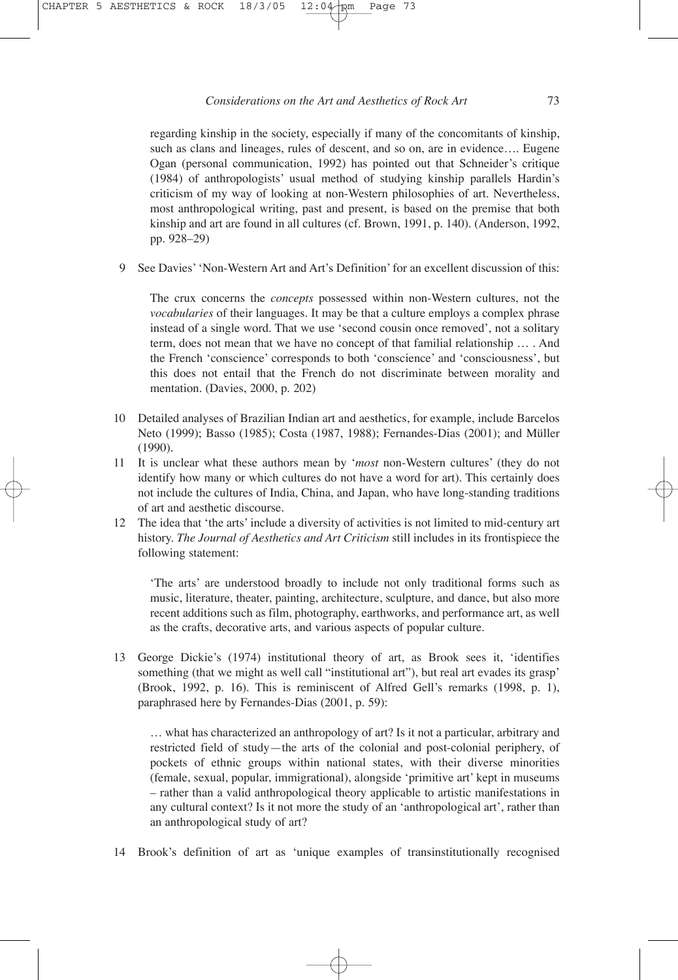regarding kinship in the society, especially if many of the concomitants of kinship, such as clans and lineages, rules of descent, and so on, are in evidence.... Eugene Ogan (personal communication, 1992) has pointed out that Schneider's critique (1984) of anthropologists' usual method of studying kinship parallels Hardin's criticism of my way of looking at non-Western philosophies of art. Nevertheless, most anthropological writing, past and present, is based on the premise that both kinship and art are found in all cultures (cf. Brown, 1991, p. 140). (Anderson, 1992, pp. 928–29)

9 See Davies' 'Non-Western Art and Art's Definition' for an excellent discussion of this:

The crux concerns the *concepts* possessed within non-Western cultures, not the *vocabularies* of their languages. It may be that a culture employs a complex phrase instead of a single word. That we use 'second cousin once removed', not a solitary term, does not mean that we have no concept of that familial relationship … . And the French 'conscience' corresponds to both 'conscience' and 'consciousness', but this does not entail that the French do not discriminate between morality and mentation. (Davies, 2000, p. 202)

- 10 Detailed analyses of Brazilian Indian art and aesthetics, for example, include Barcelos Neto (1999); Basso (1985); Costa (1987, 1988); Fernandes-Dias (2001); and Müller (1990).
- 11 It is unclear what these authors mean by '*most* non-Western cultures' (they do not identify how many or which cultures do not have a word for art). This certainly does not include the cultures of India, China, and Japan, who have long-standing traditions of art and aesthetic discourse.
- 12 The idea that 'the arts' include a diversity of activities is not limited to mid-century art history. *The Journal of Aesthetics and Art Criticism* still includes in its frontispiece the following statement:

'The arts' are understood broadly to include not only traditional forms such as music, literature, theater, painting, architecture, sculpture, and dance, but also more recent additions such as film, photography, earthworks, and performance art, as well as the crafts, decorative arts, and various aspects of popular culture.

13 George Dickie's (1974) institutional theory of art, as Brook sees it, 'identifies something (that we might as well call "institutional art"), but real art evades its grasp' (Brook, 1992, p. 16). This is reminiscent of Alfred Gell's remarks (1998, p. 1), paraphrased here by Fernandes-Dias (2001, p. 59):

… what has characterized an anthropology of art? Is it not a particular, arbitrary and restricted field of study—the arts of the colonial and post-colonial periphery, of pockets of ethnic groups within national states, with their diverse minorities (female, sexual, popular, immigrational), alongside 'primitive art' kept in museums – rather than a valid anthropological theory applicable to artistic manifestations in any cultural context? Is it not more the study of an 'anthropological art', rather than an anthropological study of art?

14 Brook's definition of art as 'unique examples of transinstitutionally recognised